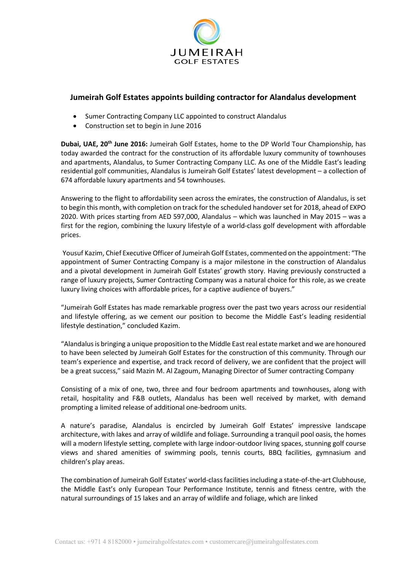

## **Jumeirah Golf Estates appoints building contractor for Alandalus development**

- Sumer Contracting Company LLC appointed to construct Alandalus
- Construction set to begin in June 2016

**Dubai, UAE, 20th June 2016:** Jumeirah Golf Estates, home to the DP World Tour Championship, has today awarded the contract for the construction of its affordable luxury community of townhouses and apartments, Alandalus, to Sumer Contracting Company LLC. As one of the Middle East's leading residential golf communities, Alandalus is Jumeirah Golf Estates' latest development – a collection of 674 affordable luxury apartments and 54 townhouses.

Answering to the flight to affordability seen across the emirates, the construction of Alandalus, is set to begin this month, with completion on track for the scheduled handover set for 2018, ahead of EXPO 2020. With prices starting from AED 597,000, Alandalus – which was launched in May 2015 – was a first for the region, combining the luxury lifestyle of a world-class golf development with affordable prices.

Yousuf Kazim, Chief Executive Officer of Jumeirah Golf Estates, commented on the appointment: "The appointment of Sumer Contracting Company is a major milestone in the construction of Alandalus and a pivotal development in Jumeirah Golf Estates' growth story. Having previously constructed a range of luxury projects, Sumer Contracting Company was a natural choice for this role, as we create luxury living choices with affordable prices, for a captive audience of buyers."

"Jumeirah Golf Estates has made remarkable progress over the past two years across our residential and lifestyle offering, as we cement our position to become the Middle East's leading residential lifestyle destination," concluded Kazim.

"Alandalus is bringing a unique proposition to the Middle East real estate market and we are honoured to have been selected by Jumeirah Golf Estates for the construction of this community. Through our team's experience and expertise, and track record of delivery, we are confident that the project will be a great success," said Mazin M. Al Zagoum, Managing Director of Sumer contracting Company

Consisting of a mix of one, two, three and four bedroom apartments and townhouses, along with retail, hospitality and F&B outlets, Alandalus has been well received by market, with demand prompting a limited release of additional one-bedroom units.

A nature's paradise, Alandalus is encircled by Jumeirah Golf Estates' impressive landscape architecture, with lakes and array of wildlife and foliage. Surrounding a tranquil pool oasis, the homes will a modern lifestyle setting, complete with large indoor-outdoor living spaces, stunning golf course views and shared amenities of swimming pools, tennis courts, BBQ facilities, gymnasium and children's play areas.

The combination of Jumeirah Golf Estates' world-class facilities including a state-of-the-art Clubhouse, the Middle East's only European Tour Performance Institute, tennis and fitness centre, with the natural surroundings of 15 lakes and an array of wildlife and foliage, which are linked